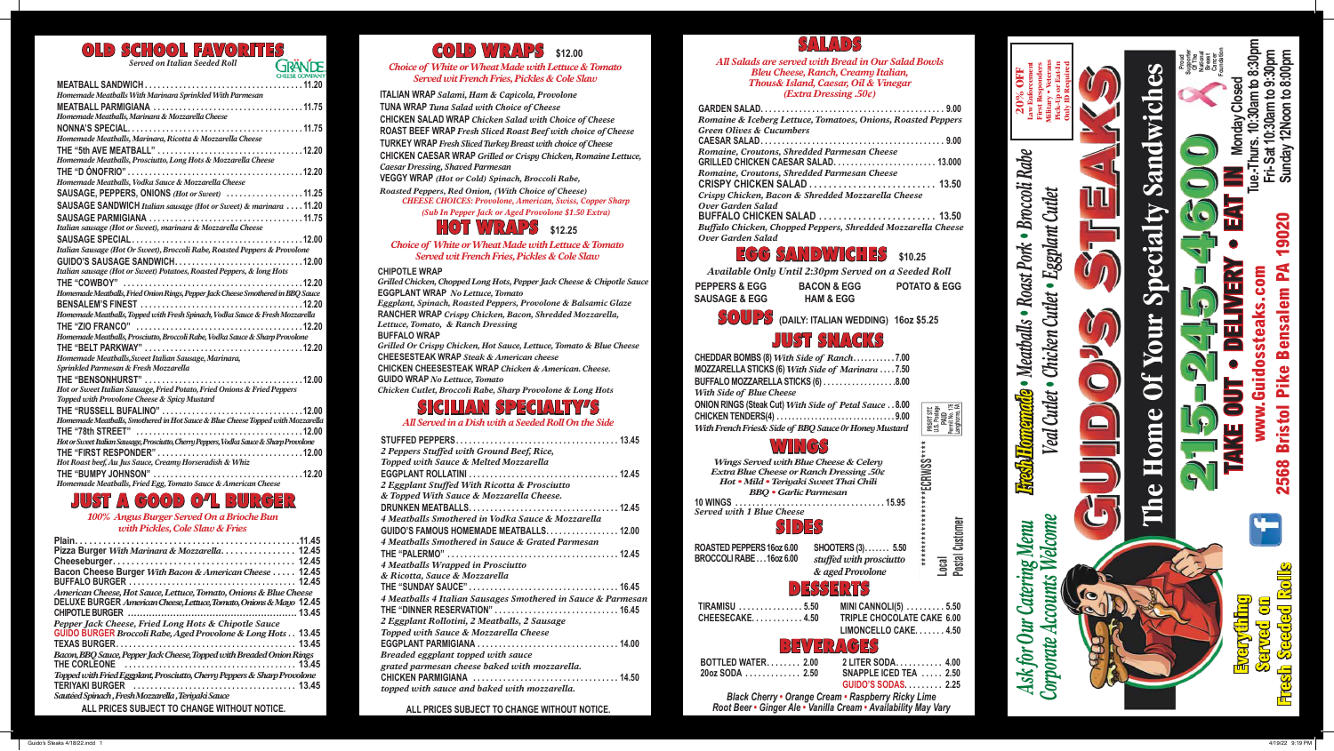| <b>NION RINGS (Steak Cut) With Side of Petal Sauce8.00</b><br>HICKEN TENDERS(4) 9.00<br>Vith French Fries& Side of BBQ Sauce 0r Honey Mustard                                                     |                                                                                    |                                          |
|---------------------------------------------------------------------------------------------------------------------------------------------------------------------------------------------------|------------------------------------------------------------------------------------|------------------------------------------|
| WINGS<br>Wings Served with Blue Cheese & Celery<br>Extra Blue Cheese or Ranch Dressing .50¢<br>Hot · Mild · Teriyaki Sweet Thai Chili<br><b>BBQ</b> • Garlic Parmesan<br>erved with 1 Blue Cheese |                                                                                    |                                          |
| けいれ                                                                                                                                                                                               |                                                                                    |                                          |
| OASTED PEPPERS 16oz 6.00<br>ROCCOLI RABE 16oz 6.00                                                                                                                                                | SHOOTERS (3) 5.50<br>stuffed with prosciutto<br>& aged Provolone                   | Jostal Customer<br>******<br>$rac{1}{2}$ |
|                                                                                                                                                                                                   | DESSERTS                                                                           |                                          |
| TIRAMISU  5.50<br>CHEESECAKE. 4.50                                                                                                                                                                | MINI CANNOLI(5) 5.50<br><b>TRIPLE CHOCOLATE CAKE 6.00</b><br>LIMONCELLO CAKE. 4.50 |                                          |
|                                                                                                                                                                                                   | BEVERAG                                                                            |                                          |
| BOTTLED WATER 2.00 2 LITER SODA 4.00<br>$20$ oz SODA $\ldots \ldots \ldots \ldots 2.50$                                                                                                           | SNAPPLE ICED TEA  2.50                                                             |                                          |

**Black Cherry • Orange** *Root Beer • Ginger Ale • Variable 1* 

| υU | <u>Z LIIEK SUDA. 4.00</u>             |  |
|----|---------------------------------------|--|
| 50 | <b>SNAPPLE ICED TEA  2.50</b>         |  |
|    | <b>GUIDO'S SODAS 2.25</b>             |  |
|    | e Cream • Raspberry Ricky Lime        |  |
|    | /anilla Cream . Availability May Vary |  |



SOUPS **(DAILY: ITALIAN WEDDING) 16oz \$5.25** 

## SALADS

*All Salads are served with Bread in Our Salad Bowls Bleu Cheese, Ranch, Creamy Italian, Thous& Island, Caesar, Oil & Vinegar (Extra Dressing .50¢)*

| ded Parmesan Cheese |  |
|---------------------|--|
|                     |  |
| ded Parmesan Cheese |  |
|                     |  |

**GARDEN SALAD . . . . . . . . . . . . . . . . . . . . . . . . . . . . . . . . . . . . . . . . . . . 9.00** *Romaine & Iceberg Lettuce, Tomatoes, Onions, Roasted Peppers Green Olives & Cucumbers*  **CAESAR SALAD . . . . . . . . . . . . . . . . . . . . . . . . . . . . . . . . . . . . . . . . . . . 9.00** *Romaine, Croutons, Shredded Parmesan Cheese*  **GRILLED CHICKEN CAESAR S**  $Romaine, Croutons, Shredc$ **CRISPY CHICKEN SALAD . . . . . . . . . . . . . . . . . . . . . . . . . . 13.50**  *Crispy Chicken, Bacon & Shredded Mozzarella Cheese Over Garden Salad* **BUFFALO CHICKEN SALAD . . . . . . . . . . . . . . . . . . . . . . . . 13.50**  *Buffalo Chicken, Chopped Peppers, Shredded Mozzarella Cheese Over Garden Salad*

#### *100% Angus Burger Served On a Brioche Bun with Pickles, Cole Slaw & Fries*

| Pizza Burger With Marinara & Mozzarella. 12.45                           |  |
|--------------------------------------------------------------------------|--|
|                                                                          |  |
| Bacon Cheese Burger With Bacon & American Cheese  12.45                  |  |
|                                                                          |  |
| American Cheese, Hot Sauce, Lettuce, Tomato, Onions & Blue Cheese        |  |
| DELUXE BURGER American Cheese, Lettuce, Tomato, Onions & Mayo 12.45      |  |
|                                                                          |  |
| Pepper Jack Cheese, Fried Long Hots & Chipotle Sauce                     |  |
| GUIDO BURGER Broccoli Rabe, Aged Provolone & Long Hots 13.45             |  |
|                                                                          |  |
| Bacon, BBQ Sauce, Pepper Jack Cheese, Topped with Breaded Onion Rings    |  |
|                                                                          |  |
| Topped with Fried Eggplant, Prosciutto, Cherry Peppers & Sharp Provolone |  |
|                                                                          |  |
| Sautéed Spinach, Fresh Mozzarella, Teriyaki Sauce                        |  |
|                                                                          |  |

## COLD WRAPS **\$12.00**

#### *Choice of White or Wheat Made with Lettuce & Tomato Served wit French Fries, Pickles & Cole Slaw*

**ITALIAN WRAP** *Salami, Ham & Capicola, Provolone* **TUNA WRAP** *Tuna Salad with Choice of Cheese* **CHICKEN SALAD WRAP** *Chicken Salad with Choice of Cheese* **ROAST BEEF WRAP** *Fresh Sliced Roast Beef with choice of Cheese* **TURKEY WRAP** *Fresh Sliced Turkey Breast with choice of Cheese* **CHICKEN CAESAR WRAP** *Grilled or Crispy Chicken, Romaine Lettuce, Caesar Dressing, Shaved Parmesan*

**VEGGY WRAP** *(Hot or Cold) Spinach, Broccoli Rabe,* 

*Roasted Peppers, Red Onion, (With Choice of Cheese) CHEESE CHOICES: Provolone, American, Swiss, Copper Sharp (Sub In Pepper Jack or Aged Provolone \$1.50 Extra)*

## **IOT WRAPS** \$12.25

#### **CHIPOTLE WRAP**

*Grilled Chicken, Chopped Long Hots, Pepper Jack Cheese & Chipotle Sauce* **EGGPLANT WRAP** *No Lettuce, Tomato Eggplant, Spinach, Roasted Peppers, Provolone & Balsamic Glaze* **RANCHER WRAP** *Crispy Chicken, Bacon, Shredded Mozzarella, Lettuce, Tomato, & Ranch Dressing* **BUFFALO WRAP** *Grilled Or Crispy Chicken, Hot Sauce, Lettuce, Tomato & Blue Cheese* **CHEESESTEAK WRAP** *Steak & American cheese* **CHICKEN CHEESESTEAK WRAP** *Chicken & American. Cheese.* **GUIDO WRAP** *No Lettuce, Tomato Chicken Cutlet, Broccoli Rabe, Sharp Provolone & Long Hots* 

## SICILIAN SPECIALTY'S

*All Served in a Dish with a Seeded Roll On the Side*

| ONION RINGS (Steak Cut) With Side of Petal Sauce 8.00<br>CHICKEN TENDERS(4) 9.00<br>With French Fries& Side of BBQ Sauce 0r Honey Mustard |                                                                         |                              |
|-------------------------------------------------------------------------------------------------------------------------------------------|-------------------------------------------------------------------------|------------------------------|
| Wings Served with Blue Cheese & Celery<br>Extra Blue Cheese or Ranch Dressing .50¢                                                        |                                                                         |                              |
| Hot · Mild · Teriyaki Sweet Thai Chili                                                                                                    |                                                                         |                              |
| <b>BBQ</b> • Garlic Parmesan                                                                                                              |                                                                         |                              |
| 10 WINGS<br><b>Served with 1 Blue Cheese</b>                                                                                              | 15.95                                                                   |                              |
| SD 33                                                                                                                                     |                                                                         |                              |
| ROASTED PEPPERS 16oz 6.00<br>BROCCOLI RABE 16oz 6.00                                                                                      | <b>SHOOTERS (3) 5.50</b><br>stuffed with prosciutto<br>& aged Provolone | ıstal Customer<br><b>GSQ</b> |
|                                                                                                                                           | 34336                                                                   |                              |
| TIRAMISU  5.50                                                                                                                            | MINI CANNOLI(5)  5.50                                                   |                              |
| CHEESECAKE4.50                                                                                                                            | <b>TRIPLE CHOCOLATE CAKE 6.00</b><br>LIMONCELLO CAKE. 4.50              |                              |
|                                                                                                                                           | TR/                                                                     |                              |
| <b>ROTTI FD WATER</b>                                                                                                                     | 2.00<br>2 LITER SODA.                                                   | 4.00                         |

| 2 Peppers Stuffed with Ground Beef, Rice,                    |
|--------------------------------------------------------------|
| Topped with Sauce & Melted Mozzarella                        |
|                                                              |
| 2 Eggplant Stuffed With Ricotta & Prosciutto                 |
| & Topped With Sauce & Mozzarella Cheese.                     |
|                                                              |
| 4 Meatballs Smothered in Vodka Sauce & Mozzarella            |
| GUIDO'S FAMOUS HOMEMADE MEATBALLS 12.00                      |
| 4 Meatballs Smothered in Sauce & Grated Parmesan             |
|                                                              |
| 4 Meatballs Wrapped in Prosciutto                            |
| & Ricotta, Sauce & Mozzarella                                |
|                                                              |
| 4 Meatballs 4 Italian Sausages Smothered in Sauce & Parmesan |
| THE "DINNER RESERVATION" 16.45                               |
| 2 Eggplant Rollotini, 2 Meatballs, 2 Sausage                 |
| Topped with Sauce & Mozzarella Cheese                        |
| EGGPLANT PARMIGIANA  14.00                                   |
| Breaded eggplant topped with sauce                           |
| grated parmesan cheese baked with mozzarella.                |
|                                                              |
| topped with sauce and baked with mozzarella.                 |

## EGG SANDWICHES **\$10.25**

*Available Only Until 2:30pm Served on a Seeded Roll* **PEPPERS & EGG SAUSAGE & EGG BACON & EGG HAM & EGG POTATO & EGG**

# **OLD SCHOOL FAVORITES**<br>Served on Italian Seeded Roll **GRÄNDE**

*Served on Italian Seeded Roll*

| Homemade Meatballs With Marinara Sprinkled With Parmesan                                |
|-----------------------------------------------------------------------------------------|
|                                                                                         |
| Homemade Meatballs, Marinara & Mozzarella Cheese                                        |
|                                                                                         |
| Homemade Meatballs, Marinara, Ricotta & Mozzarella Cheese                               |
|                                                                                         |
| Homemade Meatballs, Prosciutto, Long Hots & Mozzarella Cheese                           |
|                                                                                         |
| Homemade Meatballs, Vodka Sauce & Mozzarella Cheese                                     |
| SAUSAGE, PEPPERS, ONIONS (Hot or Sweet)  11.25                                          |
| SAUSAGE SANDWICH Italian sausage (Hot or Sweet) & marinara 11.20                        |
|                                                                                         |
| Italian sausage (Hot or Sweet), marinara & Mozzarella Cheese                            |
|                                                                                         |
| Italian Sausage (Hot Or Sweet), Broccoli Rabe, Roasted Peppers & Provolone              |
|                                                                                         |
| Italian sausage (Hot or Sweet) Potatoes, Roasted Peppers, & long Hots                   |
|                                                                                         |
| Homemade Meatballs, Fried Onion Rings, Pepper Jack Cheese Smothered in BBQ Sauce        |
|                                                                                         |
| Homemade Meatballs, Topped with Fresh Spinach, Vodka Sauce & Fresh Mozzarella           |
|                                                                                         |
| Homemade Meatballs, Prosciutto, Broccoli Rabe, Vodka Sauce & Sharp Provolone            |
|                                                                                         |
| Homemade Meatballs, Sweet Italian Sausage, Marinara,                                    |
| Sprinkled Parmesan & Fresh Mozzarella                                                   |
|                                                                                         |
| Hot or Sweet Italian Sausage, Fried Potato, Fried Onions & Fried Peppers                |
| Topped with Provolone Cheese & Spicy Mustard                                            |
| THE "RUSSELL BUFALINO" 12.00                                                            |
| Homemade Meatballs, Smothered in Hot Sauce & Blue Cheese Topped with Mozzarella         |
|                                                                                         |
| Hot or Sweet Italian Sausage, Prosciutto, Cherry Peppers, Vodka Sauce & Sharp Provolone |
|                                                                                         |
| Hot Roast beef, Au Jus Sauce, Creamy Horseradish & Whiz                                 |
|                                                                                         |
| Homemade Meatballs, Fried Egg, Tomato Sauce & American Cheese                           |

### $GOOD$   $O/L$

*Choice of White or Wheat Made with Lettuce & Tomato Served wit French Fries, Pickles & Cole Slaw*

**ALL PRICES SUBJECT TO CHANGE WITHOUT NOTICE. ALL PRICES SUBJECT TO CHANGE WITHOUT NOTICE.**

## JUST SNACKS

| e of Ranch7.00        |  |
|-----------------------|--|
| Side of Marinara 7.50 |  |
|                       |  |

**CHEDDAR BOMBS (8)** *With Side of Ranch* **. . . . . . . . . . 7.00 MOZZARELLA STICKS (6) With . BUFFALO MOZZARELLA STICKS (6)** *.* **8.00** *With Side of Blue Cheese*



**BROCCOLI RABE . . 16oz 6.00**